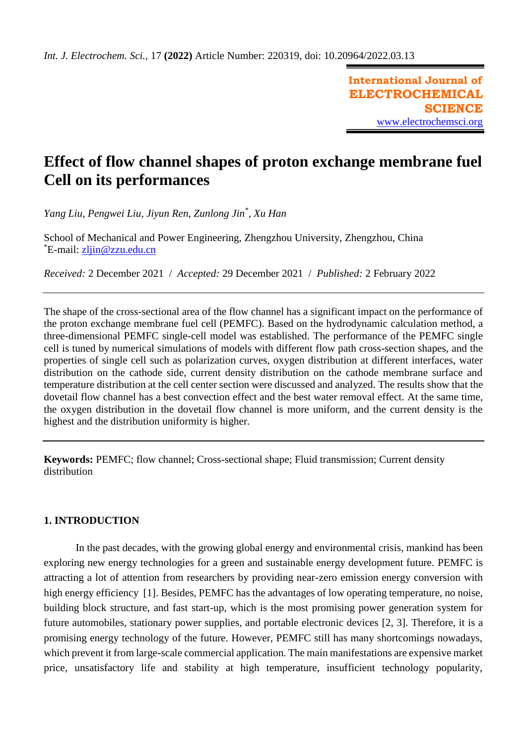**International Journal of ELECTROCHEMICAL SCIENCE** [www.electrochemsci.org](http://www.electrochemsci.org/)

# **Effect of flow channel shapes of proton exchange membrane fuel Cell on its performances**

*Yang Liu, Pengwei Liu, Jiyun Ren, Zunlong Jin\* , Xu Han*

School of Mechanical and Power Engineering, Zhengzhou University, Zhengzhou, China \*E-mail: [zljin@zzu.edu.cn](mailto:zljin@zzu.edu.cn)

*Received:* 2 December 2021/ *Accepted:* 29 December 2021 / *Published:* 2 February 2022

The shape of the cross-sectional area of the flow channel has a significant impact on the performance of the proton exchange membrane fuel cell (PEMFC). Based on the hydrodynamic calculation method, a three-dimensional PEMFC single-cell model was established. The performance of the PEMFC single cell is tuned by numerical simulations of models with different flow path cross-section shapes, and the properties of single cell such as polarization curves, oxygen distribution at different interfaces, water distribution on the cathode side, current density distribution on the cathode membrane surface and temperature distribution at the cell center section were discussed and analyzed. The results show that the dovetail flow channel has a best convection effect and the best water removal effect. At the same time, the oxygen distribution in the dovetail flow channel is more uniform, and the current density is the highest and the distribution uniformity is higher.

**Keywords:** PEMFC; flow channel; Cross-sectional shape; Fluid transmission; Current density distribution

# **1. INTRODUCTION**

In the past decades, with the growing global energy and environmental crisis, mankind has been exploring new energy technologies for a green and sustainable energy development future. PEMFC is attracting a lot of attention from researchers by providing near-zero emission energy conversion with high energy efficiency [1]. Besides, PEMFC has the advantages of low operating temperature, no noise, building block structure, and fast start-up, which is the most promising power generation system for future automobiles, stationary power supplies, and portable electronic devices [2, 3]. Therefore, it is a promising energy technology of the future. However, PEMFC still has many shortcomings nowadays, which prevent it from large-scale commercial application. The main manifestations are expensive market price, unsatisfactory life and stability at high temperature, insufficient technology popularity,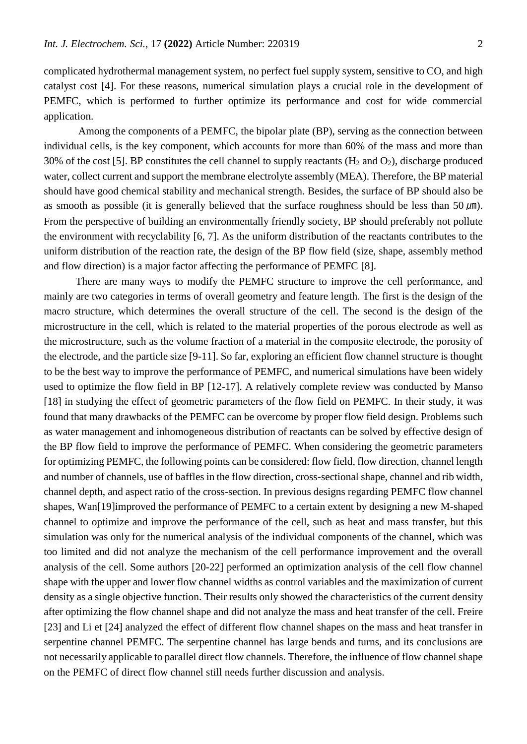complicated hydrothermal management system, no perfect fuel supply system, sensitive to CO, and high catalyst cost [4]. For these reasons, numerical simulation plays a crucial role in the development of PEMFC, which is performed to further optimize its performance and cost for wide commercial application.

Among the components of a PEMFC, the bipolar plate (BP), serving as the connection between individual cells, is the key component, which accounts for more than 60% of the mass and more than 30% of the cost [5]. BP constitutes the cell channel to supply reactants  $(H_2 \text{ and } O_2)$ , discharge produced water, collect current and support the membrane electrolyte assembly (MEA). Therefore, the BP material should have good chemical stability and mechanical strength. Besides, the surface of BP should also be as smooth as possible (it is generally believed that the surface roughness should be less than 50  $\mu$ m). From the perspective of building an environmentally friendly society, BP should preferably not pollute the environment with recyclability [6, 7]. As the uniform distribution of the reactants contributes to the uniform distribution of the reaction rate, the design of the BP flow field (size, shape, assembly method and flow direction) is a major factor affecting the performance of PEMFC [8].

There are many ways to modify the PEMFC structure to improve the cell performance, and mainly are two categories in terms of overall geometry and feature length. The first is the design of the macro structure, which determines the overall structure of the cell. The second is the design of the microstructure in the cell, which is related to the material properties of the porous electrode as well as the microstructure, such as the volume fraction of a material in the composite electrode, the porosity of the electrode, and the particle size [9-11]. So far, exploring an efficient flow channel structure is thought to be the best way to improve the performance of PEMFC, and numerical simulations have been widely used to optimize the flow field in BP [12-17]. A relatively complete review was conducted by Manso [18] in studying the effect of geometric parameters of the flow field on PEMFC. In their study, it was found that many drawbacks of the PEMFC can be overcome by proper flow field design. Problems such as water management and inhomogeneous distribution of reactants can be solved by effective design of the BP flow field to improve the performance of PEMFC. When considering the geometric parameters for optimizing PEMFC, the following points can be considered: flow field, flow direction, channel length and number of channels, use of baffles in the flow direction, cross-sectional shape, channel and rib width, channel depth, and aspect ratio of the cross-section. In previous designs regarding PEMFC flow channel shapes, Wan[19]improved the performance of PEMFC to a certain extent by designing a new M-shaped channel to optimize and improve the performance of the cell, such as heat and mass transfer, but this simulation was only for the numerical analysis of the individual components of the channel, which was too limited and did not analyze the mechanism of the cell performance improvement and the overall analysis of the cell. Some authors [20-22] performed an optimization analysis of the cell flow channel shape with the upper and lower flow channel widths as control variables and the maximization of current density as a single objective function. Their results only showed the characteristics of the current density after optimizing the flow channel shape and did not analyze the mass and heat transfer of the cell. Freire [23] and Li et [24] analyzed the effect of different flow channel shapes on the mass and heat transfer in serpentine channel PEMFC. The serpentine channel has large bends and turns, and its conclusions are not necessarily applicable to parallel direct flow channels. Therefore, the influence of flow channel shape on the PEMFC of direct flow channel still needs further discussion and analysis.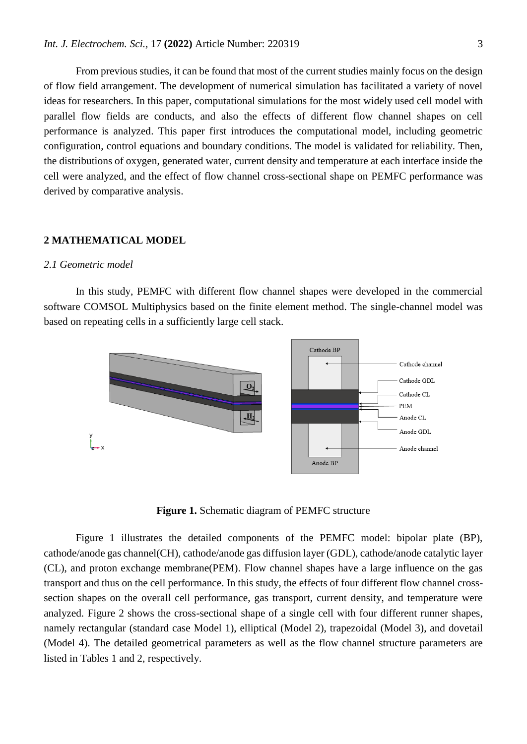From previous studies, it can be found that most of the current studies mainly focus on the design of flow field arrangement. The development of numerical simulation has facilitated a variety of novel ideas for researchers. In this paper, computational simulations for the most widely used cell model with parallel flow fields are conducts, and also the effects of different flow channel shapes on cell performance is analyzed. This paper first introduces the computational model, including geometric configuration, control equations and boundary conditions. The model is validated for reliability. Then, the distributions of oxygen, generated water, current density and temperature at each interface inside the cell were analyzed, and the effect of flow channel cross-sectional shape on PEMFC performance was derived by comparative analysis.

## **2 MATHEMATICAL MODEL**

#### *2.1 Geometric model*

In this study, PEMFC with different flow channel shapes were developed in the commercial software COMSOL Multiphysics based on the finite element method. The single-channel model was based on repeating cells in a sufficiently large cell stack.



**Figure 1.** Schematic diagram of PEMFC structure

Figure 1 illustrates the detailed components of the PEMFC model: bipolar plate (BP), cathode/anode gas channel(CH), cathode/anode gas diffusion layer (GDL), cathode/anode catalytic layer (CL), and proton exchange membrane(PEM). Flow channel shapes have a large influence on the gas transport and thus on the cell performance. In this study, the effects of four different flow channel crosssection shapes on the overall cell performance, gas transport, current density, and temperature were analyzed. Figure 2 shows the cross-sectional shape of a single cell with four different runner shapes, namely rectangular (standard case Model 1), elliptical (Model 2), trapezoidal (Model 3), and dovetail (Model 4). The detailed geometrical parameters as well as the flow channel structure parameters are listed in Tables 1 and 2, respectively.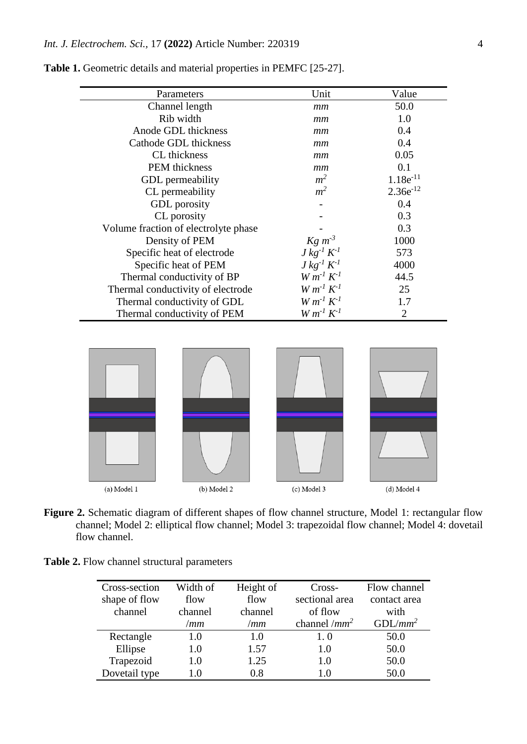| Parameters                           | Unit                                                                | Value          |
|--------------------------------------|---------------------------------------------------------------------|----------------|
| Channel length                       | mm                                                                  | 50.0           |
| Rib width                            | mm                                                                  | 1.0            |
| Anode GDL thickness                  | mm                                                                  | 0.4            |
| Cathode GDL thickness                | mm                                                                  | 0.4            |
| CL thickness                         | mm                                                                  | 0.05           |
| PEM thickness                        | mm                                                                  | 0.1            |
| <b>GDL</b> permeability              | m <sup>2</sup>                                                      | $1.18e^{-11}$  |
| CL permeability                      | m <sup>2</sup>                                                      | $2.36e^{-12}$  |
| GDL porosity                         |                                                                     | 0.4            |
| CL porosity                          |                                                                     | 0.3            |
| Volume fraction of electrolyte phase |                                                                     | 0.3            |
| Density of PEM                       | $\begin{array}{c} K g \ m^{-3} \\ J \ kg^{-1} \ K^{-1} \end{array}$ | 1000           |
| Specific heat of electrode           |                                                                     | 573            |
| Specific heat of PEM                 | $J kg^{-1} K^{-1}$                                                  | 4000           |
| Thermal conductivity of BP           | $W m^{-1} K^{-1}$                                                   | 44.5           |
| Thermal conductivity of electrode    | $W m^{-1} K^{-1}$                                                   | 25             |
| Thermal conductivity of GDL          | $W m^{-1} K^{-1}$                                                   | 1.7            |
| Thermal conductivity of PEM          | $Wm^{-1} K^{-1}$                                                    | $\overline{2}$ |

**Table 1.** Geometric details and material properties in PEMFC [25-27].



**Figure 2.** Schematic diagram of different shapes of flow channel structure, Model 1: rectangular flow channel; Model 2: elliptical flow channel; Model 3: trapezoidal flow channel; Model 4: dovetail flow channel.

| Table 2. Flow channel structural parameters |  |  |
|---------------------------------------------|--|--|
|---------------------------------------------|--|--|

| Cross-section | Width of | Height of | Cross-          | Flow channel |
|---------------|----------|-----------|-----------------|--------------|
| shape of flow | flow     | flow      | sectional area  | contact area |
| channel       | channel  | channel   | of flow         | with         |
|               | /mm      | /mm       | channel / $mm2$ | $GDL/mm^2$   |
| Rectangle     | 1.0      | 1.0       | 1.0             | 50.0         |
| Ellipse       | 1.0      | 1.57      | 1.0             | 50.0         |
| Trapezoid     | 1.0      | 1.25      | 1.0             | 50.0         |
| Dovetail type | 1.0      | 0.8       | 1.0             | 50.0         |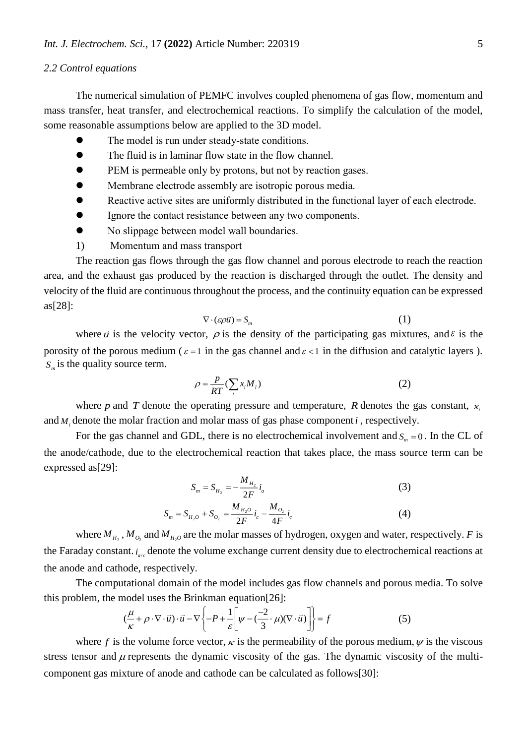## *2.2 Control equations*

The numerical simulation of PEMFC involves coupled phenomena of gas flow, momentum and mass transfer, heat transfer, and electrochemical reactions. To simplify the calculation of the model, some reasonable assumptions below are applied to the 3D model.

- The model is run under steady-state conditions.
- The fluid is in laminar flow state in the flow channel.
- PEM is permeable only by protons, but not by reaction gases.
- Membrane electrode assembly are isotropic porous media.
- Reactive active sites are uniformly distributed in the functional layer of each electrode.
- Ignore the contact resistance between any two components.
- No slippage between model wall boundaries.
- 1) Momentum and mass transport

The reaction gas flows through the gas flow channel and porous electrode to reach the reaction area, and the exhaust gas produced by the reaction is discharged through the outlet. The density and velocity of the fluid are continuous throughout the process, and the continuity equation can be expressed as[28]:

$$
\nabla \cdot (\varepsilon \rho \vec{u}) = S_m \tag{1}
$$

where  $\vec{u}$  is the velocity vector,  $\rho$  is the density of the participating gas mixtures, and  $\epsilon$  is the porosity of the porous medium ( $\varepsilon = 1$  in the gas channel and  $\varepsilon < 1$  in the diffusion and catalytic layers). *S<sup>m</sup>* is the quality source term.

$$
\rho = \frac{p}{RT} (\sum_i x_i M_i)
$$
 (2)

where p and T denote the operating pressure and temperature, R denotes the gas constant,  $x_i$ and  $M_i$  denote the molar fraction and molar mass of gas phase component *i*, respectively.

For the gas channel and GDL, there is no electrochemical involvement and  $S_m = 0$ . In the CL of the anode/cathode, due to the electrochemical reaction that takes place, the mass source term can be expressed as[29]:

$$
S_m = S_{H_2} = -\frac{M_{H_2}}{2F} i_a
$$
\n
$$
S_m = S_{H_2O} + S_{O_2} = \frac{M_{H_2O}}{2F} i_c - \frac{M_{O_2}}{4F} i_c
$$
\n(3)

where  $M_{H_2}$ ,  $M_{O_2}$  and  $M_{H_2O}$  are the molar masses of hydrogen, oxygen and water, respectively. *F* is the Faraday constant. *i<sub>alc</sub>* denote the volume exchange current density due to electrochemical reactions at the anode and cathode, respectively.

 $2^{\circ}$   $2^{\circ}$   $2^{\circ}$  4

The computational domain of the model includes gas flow channels and porous media. To solve this problem, the model uses the Brinkman equation[26]:

$$
\left(\frac{\mu}{\kappa} + \rho \cdot \nabla \cdot \vec{u}\right) \cdot \vec{u} - \nabla \left\{-P + \frac{1}{\varepsilon} \left[\psi - \left(\frac{-2}{3} \cdot \mu\right) (\nabla \cdot \vec{u})\right]\right\} = f \tag{5}
$$

where f is the volume force vector,  $\kappa$  is the permeability of the porous medium,  $\psi$  is the viscous stress tensor and  $\mu$  represents the dynamic viscosity of the gas. The dynamic viscosity of the multicomponent gas mixture of anode and cathode can be calculated as follows[30]: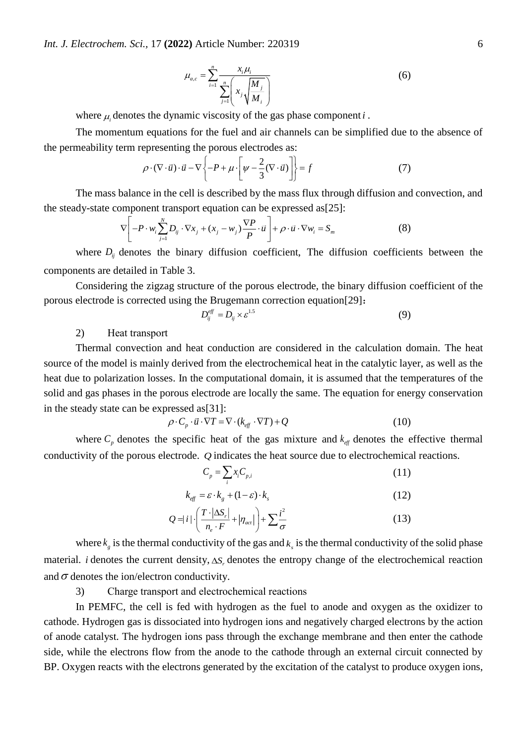$$
\mu_{a,c} = \sum_{i=1}^{n} \frac{x_i \mu_i}{\sum_{j=1}^{n} \left( x_j \sqrt{\frac{M_j}{M_i}} \right)}
$$
(6)

where  $\mu_i$  denotes the dynamic viscosity of the gas phase component  $i$ .

The momentum equations for the fuel and air channels can be simplified due to the absence of the permeability term representing the porous electrodes as:

$$
\rho \cdot (\nabla \cdot \vec{u}) \cdot \vec{u} - \nabla \left\{ -P + \mu \cdot \left[ \psi - \frac{2}{3} (\nabla \cdot \vec{u}) \right] \right\} = f \tag{7}
$$

The mass balance in the cell is described by the mass flux through diffusion and convection, and the steady-state component transport equation can be expressed as[25]:

$$
\nabla \left[ -P \cdot w_i \sum_{j=1}^{N} D_{ij} \cdot \nabla x_j + (x_j - w_j) \frac{\nabla P}{P} \cdot \vec{u} \right] + \rho \cdot \vec{u} \cdot \nabla w_i = S_m \tag{8}
$$

where  $D_{ij}$  denotes the binary diffusion coefficient, The diffusion coefficients between the components are detailed in Table 3.

Considering the zigzag structure of the porous electrode, the binary diffusion coefficient of the porous electrode is corrected using the Brugemann correction equation[29]:

$$
D_{ij}^{eff} = D_{ij} \times \varepsilon^{1.5} \tag{9}
$$

2) Heat transport

Thermal convection and heat conduction are considered in the calculation domain. The heat source of the model is mainly derived from the electrochemical heat in the catalytic layer, as well as the heat due to polarization losses. In the computational domain, it is assumed that the temperatures of the solid and gas phases in the porous electrode are locally the same. The equation for energy conservation in the steady state can be expressed as[31]:

$$
\rho \cdot C_p \cdot \vec{u} \cdot \nabla T = \nabla \cdot (k_{\text{eff}} \cdot \nabla T) + Q \tag{10}
$$

where  $C_p$  denotes the specific heat of the gas mixture and  $k_{\text{eff}}$  denotes the effective thermal conductivity of the porous electrode. *Q* indicates the heat source due to electrochemical reactions.

$$
C_p = \sum_i x_i C_{p,i} \tag{11}
$$

$$
k_{\text{eff}} = \varepsilon \cdot k_{g} + (1 - \varepsilon) \cdot k_{s} \tag{12}
$$

$$
Q = |i| \cdot \left( \frac{T \cdot |\Delta S_r|}{n_e \cdot F} + |\eta_{act}| \right) + \sum \frac{i^2}{\sigma} \tag{13}
$$

where  $k<sub>g</sub>$  is the thermal conductivity of the gas and  $k<sub>s</sub>$  is the thermal conductivity of the solid phase material. *i* denotes the current density,  $\Delta S_r$  denotes the entropy change of the electrochemical reaction and  $\sigma$  denotes the ion/electron conductivity.

3) Charge transport and electrochemical reactions

In PEMFC, the cell is fed with hydrogen as the fuel to anode and oxygen as the oxidizer to cathode. Hydrogen gas is dissociated into hydrogen ions and negatively charged electrons by the action of anode catalyst. The hydrogen ions pass through the exchange membrane and then enter the cathode side, while the electrons flow from the anode to the cathode through an external circuit connected by BP. Oxygen reacts with the electrons generated by the excitation of the catalyst to produce oxygen ions,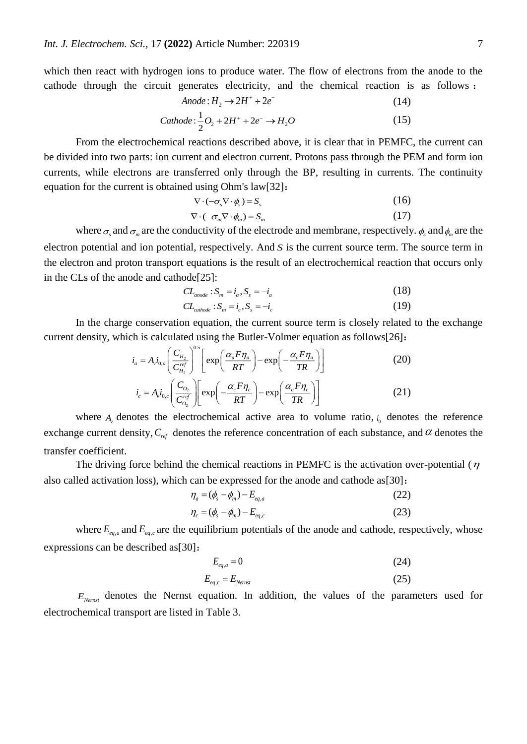which then react with hydrogen ions to produce water. The flow of electrons from the anode to the cathode through the circuit generates electricity, and the chemical reaction is as follows :

$$
Anode: H_2 \to 2H^+ + 2e^-
$$
\n<sup>(14)</sup>

Cathode: 
$$
\frac{1}{2}O_2 + 2H^+ + 2e^- \rightarrow H_2O
$$
 (15)

From the electrochemical reactions described above, it is clear that in PEMFC, the current can be divided into two parts: ion current and electron current. Protons pass through the PEM and form ion currents, while electrons are transferred only through the BP, resulting in currents. The continuity equation for the current is obtained using Ohm's law[32]:

$$
\nabla \cdot (-\sigma_s \nabla \cdot \phi_s) = S_s \tag{16}
$$

$$
\nabla \cdot (-\sigma_m \nabla \cdot \phi_m) = S_m \tag{17}
$$

where  $\sigma_s$  and  $\sigma_m$  are the conductivity of the electrode and membrane, respectively.  $\phi_s$  and  $\phi_m$  are the electron potential and ion potential, respectively. And *S* is the current source term. The source term in the electron and proton transport equations is the result of an electrochemical reaction that occurs only in the CLs of the anode and cathode[25]:

$$
CL_{\text{anode}}: S_m = i_a, S_s = -i_a \tag{18}
$$

$$
CL_{\text{cathode}} : S_m = i_c, S_s = -i_c \tag{19}
$$

In the charge conservation equation, the current source term is closely related to the exchange current density, which is calculated using the Butler-Volmer equation as follows[26]:

$$
i_a = A_i i_{0,a} \left( \frac{C_{H_2}}{C_{H_2}^{ref}} \right)^{0.5} \left[ \exp\left( \frac{\alpha_a F \eta_a}{RT} \right) - \exp\left( -\frac{\alpha_c F \eta_a}{TR} \right) \right]
$$
(20)  

$$
i = A_i i_a \left( \frac{C_{O_2}}{C_{O_2}} \right) \left[ \exp\left( -\frac{\alpha_c F \eta_c}{2C_{O_2}} \right) - \exp\left( \frac{\alpha_a F \eta_c}{2C_{O_2}} \right) \right]
$$

$$
\left(\begin{array}{c}\n\binom{C_{H_2}}{r_1} & \binom{C_{O_2}}{r_2} \\
\vdots \\
\frac{C_{O_2}}{C_{O_2}}\n\end{array}\right) \left[\exp\left(-\frac{\alpha_c F \eta_c}{RT}\right) - \exp\left(\frac{\alpha_a F \eta_c}{TR}\right)\right] \tag{21}
$$

where  $A_{\nu}$  denotes the electrochemical active area to volume ratio,  $i_0$  denotes the reference exchange current density,  $C_{ref}$  denotes the reference concentration of each substance, and  $\alpha$  denotes the transfer coefficient.

The driving force behind the chemical reactions in PEMFC is the activation over-potential ( $\eta$ also called activation loss), which can be expressed for the anode and cathode as  $[30]$ :

$$
\eta_a = (\phi_s - \phi_m) - E_{eq,a} \tag{22}
$$

$$
\eta_c = (\phi_s - \phi_m) - E_{eq,c} \tag{23}
$$

where  $E_{eq,a}$  and  $E_{eq,c}$  are the equilibrium potentials of the anode and cathode, respectively, whose expressions can be described as[30]:

$$
E_{eq,a} = 0 \tag{24}
$$

$$
E_{eq,c} = E_{Nemst} \tag{25}
$$

*ENernst* denotes the Nernst equation. In addition, the values of the parameters used for electrochemical transport are listed in Table 3.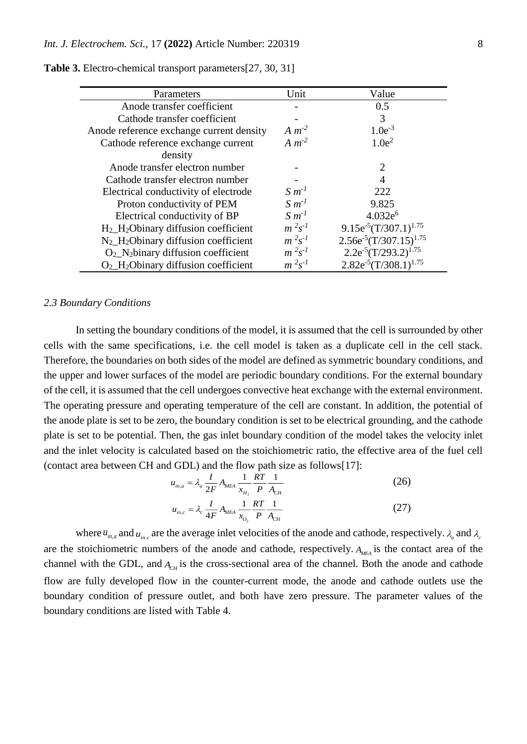| Parameters                                                   | Unit           | Value                         |
|--------------------------------------------------------------|----------------|-------------------------------|
| Anode transfer coefficient                                   |                | 0.5                           |
| Cathode transfer coefficient                                 |                | 3                             |
| Anode reference exchange current density                     | $A m-2$        | $1.0e^{-3}$                   |
| Cathode reference exchange current                           | $Am^{-2}$      | 1.0e <sup>2</sup>             |
| density                                                      |                |                               |
| Anode transfer electron number                               |                | $\mathcal{D}_{\mathcal{L}}$   |
| Cathode transfer electron number                             |                | 4                             |
| Electrical conductivity of electrode                         | $S m-1$        | 222                           |
| Proton conductivity of PEM                                   | $S m^{-1}$     | 9.825                         |
| Electrical conductivity of BP                                | $S m^{-1}$     | $4.032e^{6}$                  |
| H <sub>2</sub> _H <sub>2</sub> Obinary diffusion coefficient | $m^2s^{-1}$    | $9.15e^{-5}(T/307.1)^{1.75}$  |
| $N_2$ _H <sub>2</sub> Obinary diffusion coefficient          | $m^2s^{-1}$    | $2.56e^{-5}(T/307.15)^{1.75}$ |
| $O_2$ N <sub>2</sub> binary diffusion coefficient            | $m^2s^{-1}$    | $2.2e^{-5}(T/293.2)^{1.75}$   |
| $O_2$ _H <sub>2</sub> Obinary diffusion coefficient          | $m^{2} s^{-1}$ | $2.82e^{-5}(T/308.1)^{1.75}$  |

**Table 3.** Electro-chemical transport parameters[27, 30, 31]

## *2.3 Boundary Conditions*

In setting the boundary conditions of the model, it is assumed that the cell is surrounded by other cells with the same specifications, i.e. the cell model is taken as a duplicate cell in the cell stack. Therefore, the boundaries on both sides of the model are defined as symmetric boundary conditions, and the upper and lower surfaces of the model are periodic boundary conditions. For the external boundary of the cell, it is assumed that the cell undergoes convective heat exchange with the external environment. The operating pressure and operating temperature of the cell are constant. In addition, the potential of the anode plate is set to be zero, the boundary condition is set to be electrical grounding, and the cathode plate is set to be potential. Then, the gas inlet boundary condition of the model takes the velocity inlet and the inlet velocity is calculated based on the stoichiometric ratio, the effective area of the fuel cell (contact area between CH and GDL) and the flow path size as follows[17]:

$$
u_{in,a} = \lambda_a \frac{I}{2F} A_{MEA} \frac{1}{x_{H_2}} \frac{RT}{P} \frac{1}{A_{CH}}
$$
(26)

$$
u_{in,c} = \lambda_c \frac{I}{4F} A_{meA} \frac{1}{x_{o_2}} \frac{RT}{P} \frac{1}{A_{CH}}
$$
 (27)

where  $u_{m,a}$  and  $u_{m,c}$  are the average inlet velocities of the anode and cathode, respectively.  $\lambda_a$  and  $\lambda_c$ are the stoichiometric numbers of the anode and cathode, respectively. *AMEA* is the contact area of the channel with the GDL, and  $A<sub>CH</sub>$  is the cross-sectional area of the channel. Both the anode and cathode flow are fully developed flow in the counter-current mode, the anode and cathode outlets use the boundary condition of pressure outlet, and both have zero pressure. The parameter values of the boundary conditions are listed with Table 4.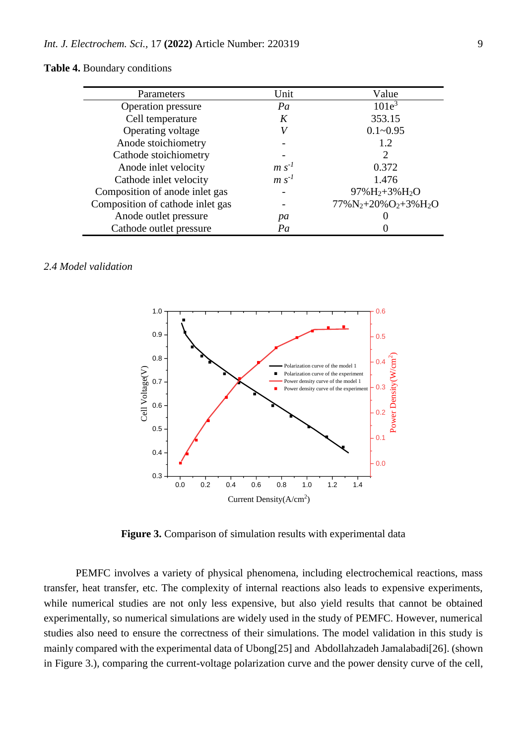## **Table 4.** Boundary conditions

| Parameters                       | Unit    | Value                       |
|----------------------------------|---------|-----------------------------|
| Operation pressure               | Pa      | $101e^3$                    |
| Cell temperature                 |         | 353.15                      |
| Operating voltage                |         | $0.1 - 0.95$                |
| Anode stoichiometry              |         | 1.2                         |
| Cathode stoichiometry            |         | $\mathcal{D}_{\mathcal{L}}$ |
| Anode inlet velocity             | $m s-1$ | 0.372                       |
| Cathode inlet velocity           | $m s-1$ | 1.476                       |
| Composition of anode inlet gas   |         | $97\% H_2 + 3\% H_2O$       |
| Composition of cathode inlet gas |         | $77\%N_2+20\%O_2+3\%H_2O$   |
| Anode outlet pressure            | pa      |                             |
| Cathode outlet pressure          | Pa      |                             |

## *2.4 Model validation*



**Figure 3.** Comparison of simulation results with experimental data

PEMFC involves a variety of physical phenomena, including electrochemical reactions, mass transfer, heat transfer, etc. The complexity of internal reactions also leads to expensive experiments, while numerical studies are not only less expensive, but also yield results that cannot be obtained experimentally, so numerical simulations are widely used in the study of PEMFC. However, numerical studies also need to ensure the correctness of their simulations. The model validation in this study is mainly compared with the experimental data of Ubong[25] and Abdollahzadeh Jamalabadi[26]. (shown in Figure 3.), comparing the current-voltage polarization curve and the power density curve of the cell,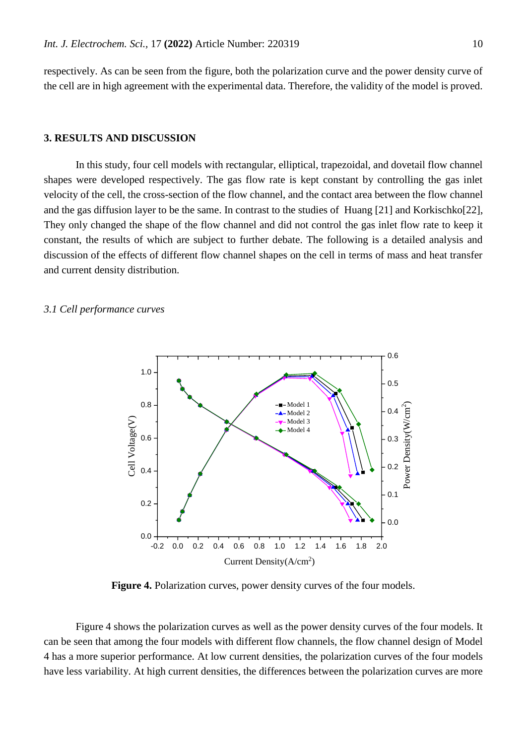respectively. As can be seen from the figure, both the polarization curve and the power density curve of the cell are in high agreement with the experimental data. Therefore, the validity of the model is proved.

## **3. RESULTS AND DISCUSSION**

In this study, four cell models with rectangular, elliptical, trapezoidal, and dovetail flow channel shapes were developed respectively. The gas flow rate is kept constant by controlling the gas inlet velocity of the cell, the cross-section of the flow channel, and the contact area between the flow channel and the gas diffusion layer to be the same. In contrast to the studies of Huang [21] and Korkischko[22], They only changed the shape of the flow channel and did not control the gas inlet flow rate to keep it constant, the results of which are subject to further debate. The following is a detailed analysis and discussion of the effects of different flow channel shapes on the cell in terms of mass and heat transfer and current density distribution.

#### *3.1 Cell performance curves*



**Figure 4.** Polarization curves, power density curves of the four models.

Figure 4 shows the polarization curves as well as the power density curves of the four models. It can be seen that among the four models with different flow channels, the flow channel design of Model 4 has a more superior performance. At low current densities, the polarization curves of the four models have less variability. At high current densities, the differences between the polarization curves are more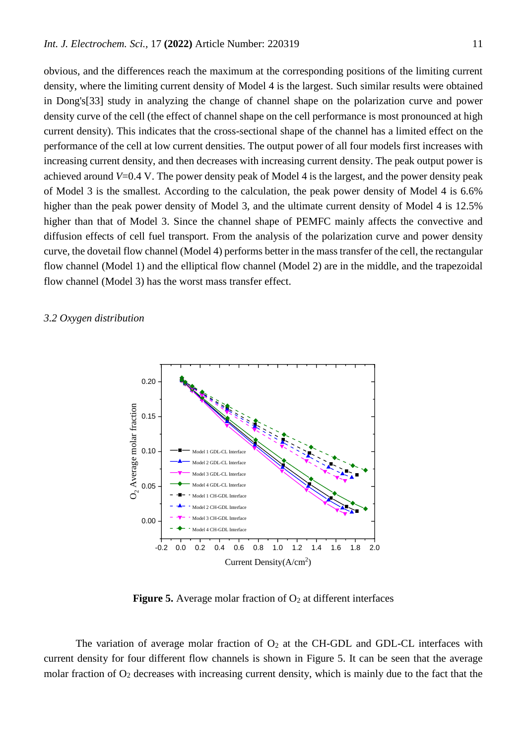obvious, and the differences reach the maximum at the corresponding positions of the limiting current density, where the limiting current density of Model 4 is the largest. Such similar results were obtained in Dong's[33] study in analyzing the change of channel shape on the polarization curve and power density curve of the cell (the effect of channel shape on the cell performance is most pronounced at high current density). This indicates that the cross-sectional shape of the channel has a limited effect on the performance of the cell at low current densities. The output power of all four models first increases with increasing current density, and then decreases with increasing current density. The peak output power is achieved around *V*=0.4 V. The power density peak of Model 4 is the largest, and the power density peak of Model 3 is the smallest. According to the calculation, the peak power density of Model 4 is 6.6% higher than the peak power density of Model 3, and the ultimate current density of Model 4 is 12.5% higher than that of Model 3. Since the channel shape of PEMFC mainly affects the convective and diffusion effects of cell fuel transport. From the analysis of the polarization curve and power density curve, the dovetail flow channel (Model 4) performs better in the mass transfer of the cell, the rectangular flow channel (Model 1) and the elliptical flow channel (Model 2) are in the middle, and the trapezoidal flow channel (Model 3) has the worst mass transfer effect.

## *3.2 Oxygen distribution*



**Figure 5.** Average molar fraction of  $O_2$  at different interfaces

The variation of average molar fraction of  $O_2$  at the CH-GDL and GDL-CL interfaces with current density for four different flow channels is shown in Figure 5. It can be seen that the average molar fraction of  $O_2$  decreases with increasing current density, which is mainly due to the fact that the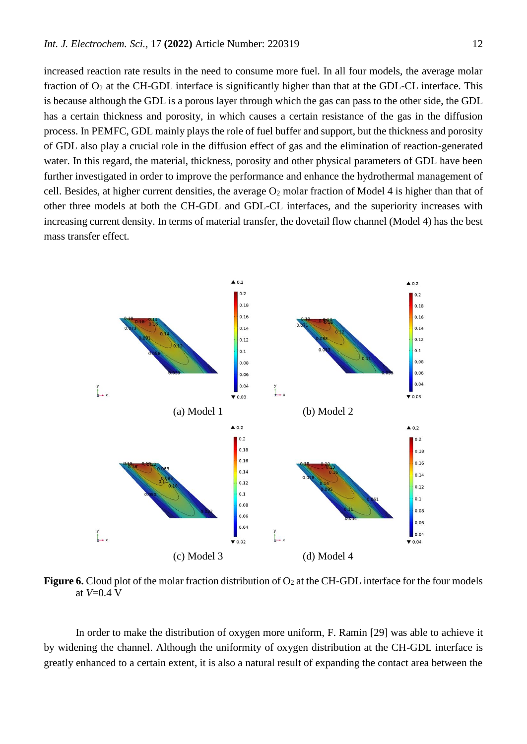increased reaction rate results in the need to consume more fuel. In all four models, the average molar fraction of  $O_2$  at the CH-GDL interface is significantly higher than that at the GDL-CL interface. This is because although the GDL is a porous layer through which the gas can pass to the other side, the GDL has a certain thickness and porosity, in which causes a certain resistance of the gas in the diffusion process. In PEMFC, GDL mainly plays the role of fuel buffer and support, but the thickness and porosity of GDL also play a crucial role in the diffusion effect of gas and the elimination of reaction-generated water. In this regard, the material, thickness, porosity and other physical parameters of GDL have been further investigated in order to improve the performance and enhance the hydrothermal management of cell. Besides, at higher current densities, the average  $O_2$  molar fraction of Model 4 is higher than that of other three models at both the CH-GDL and GDL-CL interfaces, and the superiority increases with increasing current density. In terms of material transfer, the dovetail flow channel (Model 4) has the best mass transfer effect.



**Figure 6.** Cloud plot of the molar fraction distribution of  $O_2$  at the CH-GDL interface for the four models at *V*=0.4 V

In order to make the distribution of oxygen more uniform, F. Ramin [29] was able to achieve it by widening the channel. Although the uniformity of oxygen distribution at the CH-GDL interface is greatly enhanced to a certain extent, it is also a natural result of expanding the contact area between the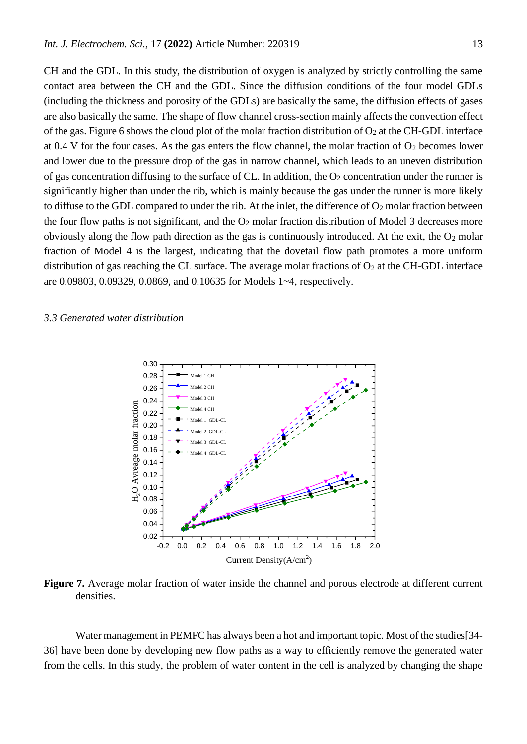CH and the GDL. In this study, the distribution of oxygen is analyzed by strictly controlling the same contact area between the CH and the GDL. Since the diffusion conditions of the four model GDLs (including the thickness and porosity of the GDLs) are basically the same, the diffusion effects of gases are also basically the same. The shape of flow channel cross-section mainly affects the convection effect of the gas. Figure 6 shows the cloud plot of the molar fraction distribution of  $O_2$  at the CH-GDL interface at 0.4 V for the four cases. As the gas enters the flow channel, the molar fraction of  $O_2$  becomes lower and lower due to the pressure drop of the gas in narrow channel, which leads to an uneven distribution of gas concentration diffusing to the surface of CL. In addition, the  $O<sub>2</sub>$  concentration under the runner is significantly higher than under the rib, which is mainly because the gas under the runner is more likely to diffuse to the GDL compared to under the rib. At the inlet, the difference of  $O_2$  molar fraction between the four flow paths is not significant, and the  $O_2$  molar fraction distribution of Model 3 decreases more obviously along the flow path direction as the gas is continuously introduced. At the exit, the  $O_2$  molar fraction of Model 4 is the largest, indicating that the dovetail flow path promotes a more uniform distribution of gas reaching the CL surface. The average molar fractions of  $O_2$  at the CH-GDL interface are 0.09803, 0.09329, 0.0869, and 0.10635 for Models 1~4, respectively.

## *3.3 Generated water distribution*



**Figure 7.** Average molar fraction of water inside the channel and porous electrode at different current densities.

Water management in PEMFC has always been a hot and important topic. Most of the studies[34- 36] have been done by developing new flow paths as a way to efficiently remove the generated water from the cells. In this study, the problem of water content in the cell is analyzed by changing the shape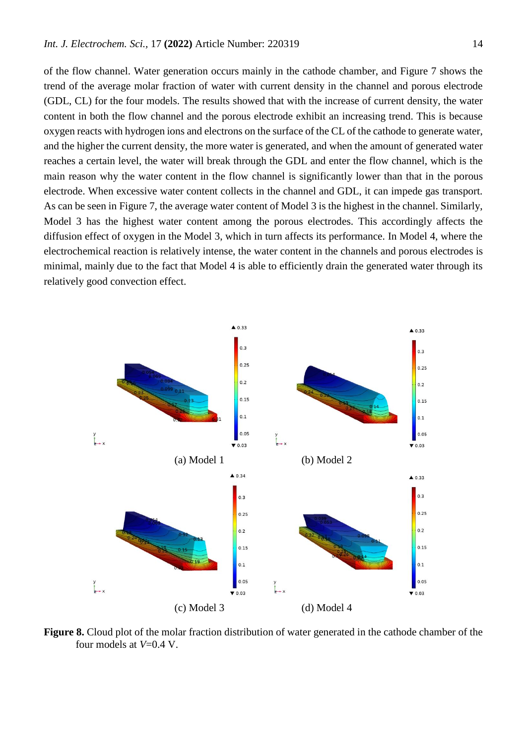of the flow channel. Water generation occurs mainly in the cathode chamber, and Figure 7 shows the trend of the average molar fraction of water with current density in the channel and porous electrode (GDL, CL) for the four models. The results showed that with the increase of current density, the water content in both the flow channel and the porous electrode exhibit an increasing trend. This is because oxygen reacts with hydrogen ions and electrons on the surface of the CL of the cathode to generate water, and the higher the current density, the more water is generated, and when the amount of generated water reaches a certain level, the water will break through the GDL and enter the flow channel, which is the main reason why the water content in the flow channel is significantly lower than that in the porous electrode. When excessive water content collects in the channel and GDL, it can impede gas transport. As can be seen in Figure 7, the average water content of Model 3 is the highest in the channel. Similarly, Model 3 has the highest water content among the porous electrodes. This accordingly affects the diffusion effect of oxygen in the Model 3, which in turn affects its performance. In Model 4, where the electrochemical reaction is relatively intense, the water content in the channels and porous electrodes is minimal, mainly due to the fact that Model 4 is able to efficiently drain the generated water through its relatively good convection effect.



**Figure 8.** Cloud plot of the molar fraction distribution of water generated in the cathode chamber of the four models at *V*=0.4 V.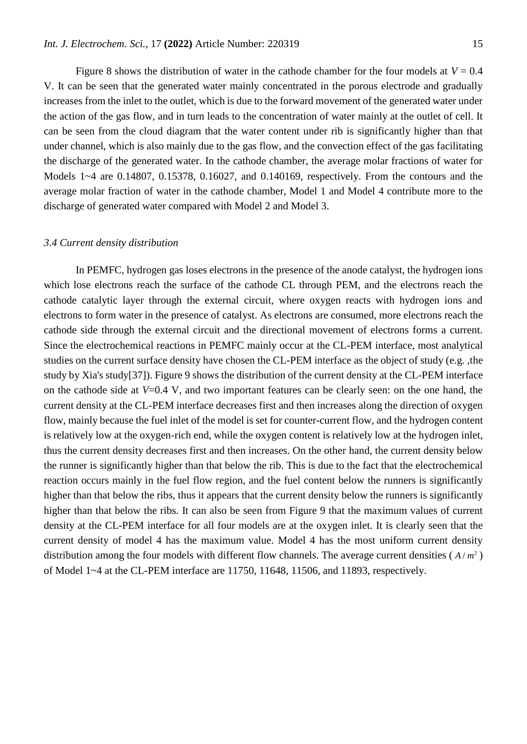Figure 8 shows the distribution of water in the cathode chamber for the four models at  $V = 0.4$ V. It can be seen that the generated water mainly concentrated in the porous electrode and gradually increases from the inlet to the outlet, which is due to the forward movement of the generated water under the action of the gas flow, and in turn leads to the concentration of water mainly at the outlet of cell. It can be seen from the cloud diagram that the water content under rib is significantly higher than that under channel, which is also mainly due to the gas flow, and the convection effect of the gas facilitating the discharge of the generated water. In the cathode chamber, the average molar fractions of water for Models 1~4 are 0.14807, 0.15378, 0.16027, and 0.140169, respectively. From the contours and the average molar fraction of water in the cathode chamber, Model 1 and Model 4 contribute more to the discharge of generated water compared with Model 2 and Model 3.

#### *3.4 Current density distribution*

In PEMFC, hydrogen gas loses electrons in the presence of the anode catalyst, the hydrogen ions which lose electrons reach the surface of the cathode CL through PEM, and the electrons reach the cathode catalytic layer through the external circuit, where oxygen reacts with hydrogen ions and electrons to form water in the presence of catalyst. As electrons are consumed, more electrons reach the cathode side through the external circuit and the directional movement of electrons forms a current. Since the electrochemical reactions in PEMFC mainly occur at the CL-PEM interface, most analytical studies on the current surface density have chosen the CL-PEM interface as the object of study (e.g. ,the study by Xia's study[37]). Figure 9 shows the distribution of the current density at the CL-PEM interface on the cathode side at *V*=0.4 V, and two important features can be clearly seen: on the one hand, the current density at the CL-PEM interface decreases first and then increases along the direction of oxygen flow, mainly because the fuel inlet of the model is set for counter-current flow, and the hydrogen content is relatively low at the oxygen-rich end, while the oxygen content is relatively low at the hydrogen inlet, thus the current density decreases first and then increases. On the other hand, the current density below the runner is significantly higher than that below the rib. This is due to the fact that the electrochemical reaction occurs mainly in the fuel flow region, and the fuel content below the runners is significantly higher than that below the ribs, thus it appears that the current density below the runners is significantly higher than that below the ribs. It can also be seen from Figure 9 that the maximum values of current density at the CL-PEM interface for all four models are at the oxygen inlet. It is clearly seen that the current density of model 4 has the maximum value. Model 4 has the most uniform current density distribution among the four models with different flow channels. The average current densities  $(A/m^2)$ of Model 1~4 at the CL-PEM interface are 11750, 11648, 11506, and 11893, respectively.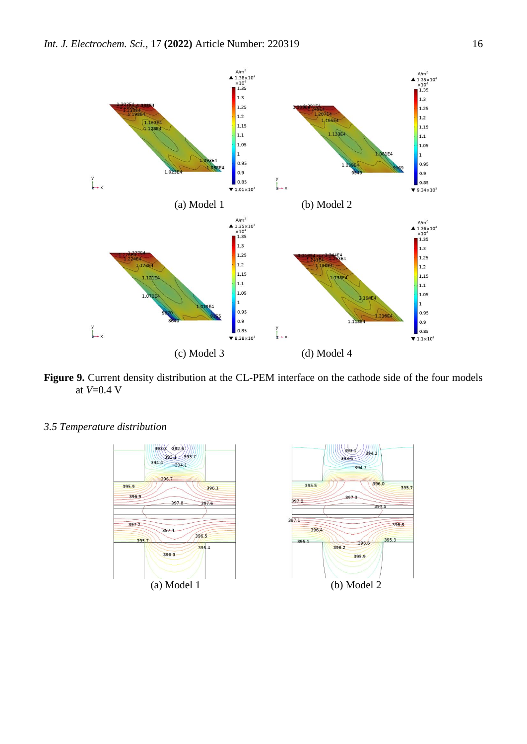

**Figure 9.** Current density distribution at the CL-PEM interface on the cathode side of the four models at *V*=0.4 V

*3.5 Temperature distribution*

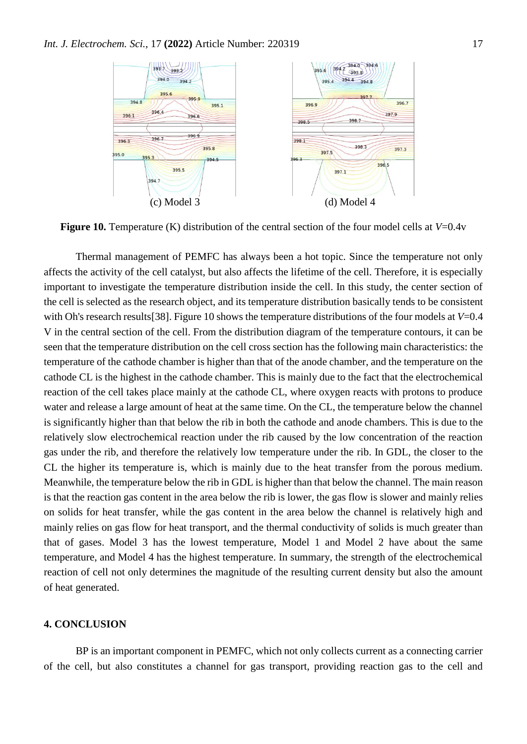

**Figure 10.** Temperature (K) distribution of the central section of the four model cells at *V*=0.4v

Thermal management of PEMFC has always been a hot topic. Since the temperature not only affects the activity of the cell catalyst, but also affects the lifetime of the cell. Therefore, it is especially important to investigate the temperature distribution inside the cell. In this study, the center section of the cell is selected as the research object, and its temperature distribution basically tends to be consistent with Oh's research results[38]. Figure 10 shows the temperature distributions of the four models at *V*=0.4 V in the central section of the cell. From the distribution diagram of the temperature contours, it can be seen that the temperature distribution on the cell cross section has the following main characteristics: the temperature of the cathode chamber is higher than that of the anode chamber, and the temperature on the cathode CL is the highest in the cathode chamber. This is mainly due to the fact that the electrochemical reaction of the cell takes place mainly at the cathode CL, where oxygen reacts with protons to produce water and release a large amount of heat at the same time. On the CL, the temperature below the channel is significantly higher than that below the rib in both the cathode and anode chambers. This is due to the relatively slow electrochemical reaction under the rib caused by the low concentration of the reaction gas under the rib, and therefore the relatively low temperature under the rib. In GDL, the closer to the CL the higher its temperature is, which is mainly due to the heat transfer from the porous medium. Meanwhile, the temperature below the rib in GDL is higher than that below the channel. The main reason is that the reaction gas content in the area below the rib is lower, the gas flow is slower and mainly relies on solids for heat transfer, while the gas content in the area below the channel is relatively high and mainly relies on gas flow for heat transport, and the thermal conductivity of solids is much greater than that of gases. Model 3 has the lowest temperature, Model 1 and Model 2 have about the same temperature, and Model 4 has the highest temperature. In summary, the strength of the electrochemical reaction of cell not only determines the magnitude of the resulting current density but also the amount of heat generated.

# **4. CONCLUSION**

BP is an important component in PEMFC, which not only collects current as a connecting carrier of the cell, but also constitutes a channel for gas transport, providing reaction gas to the cell and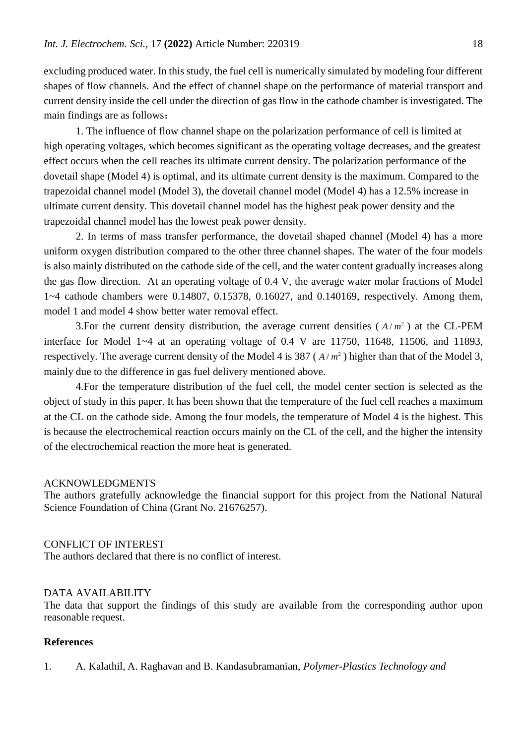excluding produced water. In this study, the fuel cell is numerically simulated by modeling four different shapes of flow channels. And the effect of channel shape on the performance of material transport and current density inside the cell under the direction of gas flow in the cathode chamber is investigated. The main findings are as follows:

1. The influence of flow channel shape on the polarization performance of cell is limited at high operating voltages, which becomes significant as the operating voltage decreases, and the greatest effect occurs when the cell reaches its ultimate current density. The polarization performance of the dovetail shape (Model 4) is optimal, and its ultimate current density is the maximum. Compared to the trapezoidal channel model (Model 3), the dovetail channel model (Model 4) has a 12.5% increase in ultimate current density. This dovetail channel model has the highest peak power density and the trapezoidal channel model has the lowest peak power density.

2. In terms of mass transfer performance, the dovetail shaped channel (Model 4) has a more uniform oxygen distribution compared to the other three channel shapes. The water of the four models is also mainly distributed on the cathode side of the cell, and the water content gradually increases along the gas flow direction. At an operating voltage of 0.4 V, the average water molar fractions of Model 1~4 cathode chambers were 0.14807, 0.15378, 0.16027, and 0.140169, respectively. Among them, model 1 and model 4 show better water removal effect.

3. For the current density distribution, the average current densities  $(A/m^2)$  at the CL-PEM interface for Model 1~4 at an operating voltage of 0.4 V are 11750, 11648, 11506, and 11893, respectively. The average current density of the Model 4 is  $387 (A/m^2)$  higher than that of the Model 3, mainly due to the difference in gas fuel delivery mentioned above.

4.For the temperature distribution of the fuel cell, the model center section is selected as the object of study in this paper. It has been shown that the temperature of the fuel cell reaches a maximum at the CL on the cathode side. Among the four models, the temperature of Model 4 is the highest. This is because the electrochemical reaction occurs mainly on the CL of the cell, and the higher the intensity of the electrochemical reaction the more heat is generated.

## ACKNOWLEDGMENTS

The authors gratefully acknowledge the financial support for this project from the National Natural Science Foundation of China (Grant No. 21676257).

## CONFLICT OF INTEREST

The authors declared that there is no conflict of interest.

## DATA AVAILABILITY

The data that support the findings of this study are available from the corresponding author upon reasonable request.

## **References**

1. A. Kalathil, A. Raghavan and B. Kandasubramanian, *Polymer-Plastics Technology and*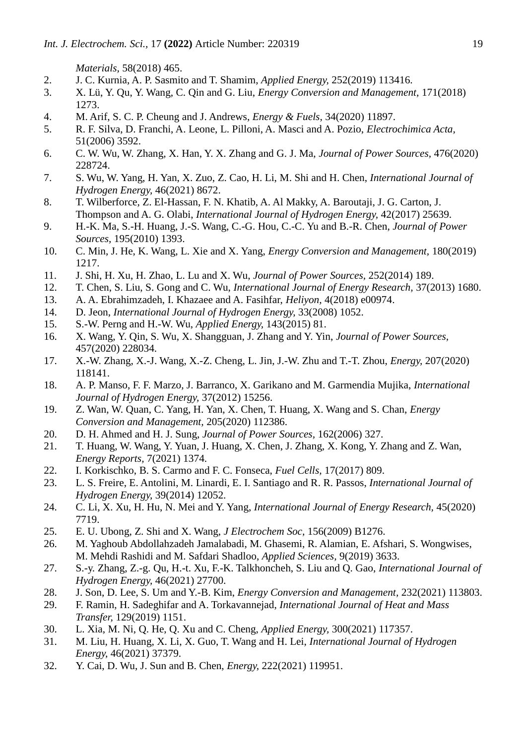*Materials,* 58(2018) 465.

- 2. J. C. Kurnia, A. P. Sasmito and T. Shamim, *Applied Energy,* 252(2019) 113416.
- 3. X. Lü, Y. Qu, Y. Wang, C. Qin and G. Liu, *Energy Conversion and Management,* 171(2018) 1273.
- 4. M. Arif, S. C. P. Cheung and J. Andrews, *Energy & Fuels,* 34(2020) 11897.
- 5. R. F. Silva, D. Franchi, A. Leone, L. Pilloni, A. Masci and A. Pozio, *Electrochimica Acta,* 51(2006) 3592.
- 6. C. W. Wu, W. Zhang, X. Han, Y. X. Zhang and G. J. Ma, *Journal of Power Sources,* 476(2020) 228724.
- 7. S. Wu, W. Yang, H. Yan, X. Zuo, Z. Cao, H. Li, M. Shi and H. Chen, *International Journal of Hydrogen Energy,* 46(2021) 8672.
- 8. T. Wilberforce, Z. El-Hassan, F. N. Khatib, A. Al Makky, A. Baroutaji, J. G. Carton, J. Thompson and A. G. Olabi, *International Journal of Hydrogen Energy,* 42(2017) 25639.
- 9. H.-K. Ma, S.-H. Huang, J.-S. Wang, C.-G. Hou, C.-C. Yu and B.-R. Chen, *Journal of Power Sources,* 195(2010) 1393.
- 10. C. Min, J. He, K. Wang, L. Xie and X. Yang, *Energy Conversion and Management,* 180(2019) 1217.
- 11. J. Shi, H. Xu, H. Zhao, L. Lu and X. Wu, *Journal of Power Sources,* 252(2014) 189.
- 12. T. Chen, S. Liu, S. Gong and C. Wu, *International Journal of Energy Research,* 37(2013) 1680.
- 13. A. A. Ebrahimzadeh, I. Khazaee and A. Fasihfar, *Heliyon,* 4(2018) e00974.
- 14. D. Jeon, *International Journal of Hydrogen Energy,* 33(2008) 1052.
- 15. S.-W. Perng and H.-W. Wu, *Applied Energy,* 143(2015) 81.
- 16. X. Wang, Y. Qin, S. Wu, X. Shangguan, J. Zhang and Y. Yin, *Journal of Power Sources,* 457(2020) 228034.
- 17. X.-W. Zhang, X.-J. Wang, X.-Z. Cheng, L. Jin, J.-W. Zhu and T.-T. Zhou, *Energy,* 207(2020) 118141.
- 18. A. P. Manso, F. F. Marzo, J. Barranco, X. Garikano and M. Garmendia Mujika, *International Journal of Hydrogen Energy,* 37(2012) 15256.
- 19. Z. Wan, W. Quan, C. Yang, H. Yan, X. Chen, T. Huang, X. Wang and S. Chan, *Energy Conversion and Management,* 205(2020) 112386.
- 20. D. H. Ahmed and H. J. Sung, *Journal of Power Sources,* 162(2006) 327.
- 21. T. Huang, W. Wang, Y. Yuan, J. Huang, X. Chen, J. Zhang, X. Kong, Y. Zhang and Z. Wan, *Energy Reports,* 7(2021) 1374.
- 22. I. Korkischko, B. S. Carmo and F. C. Fonseca, *Fuel Cells,* 17(2017) 809.
- 23. L. S. Freire, E. Antolini, M. Linardi, E. I. Santiago and R. R. Passos, *International Journal of Hydrogen Energy,* 39(2014) 12052.
- 24. C. Li, X. Xu, H. Hu, N. Mei and Y. Yang, *International Journal of Energy Research,* 45(2020) 7719.
- 25. E. U. Ubong, Z. Shi and X. Wang, *J Electrochem Soc,* 156(2009) B1276.
- 26. M. Yaghoub Abdollahzadeh Jamalabadi, M. Ghasemi, R. Alamian, E. Afshari, S. Wongwises, M. Mehdi Rashidi and M. Safdari Shadloo, *Applied Sciences,* 9(2019) 3633.
- 27. S.-y. Zhang, Z.-g. Qu, H.-t. Xu, F.-K. Talkhoncheh, S. Liu and Q. Gao, *International Journal of Hydrogen Energy,* 46(2021) 27700.
- 28. J. Son, D. Lee, S. Um and Y.-B. Kim, *Energy Conversion and Management,* 232(2021) 113803.
- 29. F. Ramin, H. Sadeghifar and A. Torkavannejad, *International Journal of Heat and Mass Transfer,* 129(2019) 1151.
- 30. L. Xia, M. Ni, Q. He, Q. Xu and C. Cheng, *Applied Energy,* 300(2021) 117357.
- 31. M. Liu, H. Huang, X. Li, X. Guo, T. Wang and H. Lei, *International Journal of Hydrogen Energy,* 46(2021) 37379.
- 32. Y. Cai, D. Wu, J. Sun and B. Chen, *Energy,* 222(2021) 119951.